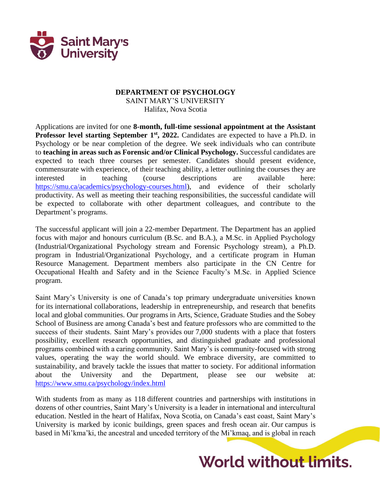

## **DEPARTMENT OF PSYCHOLOGY** SAINT MARY'S UNIVERSITY Halifax, Nova Scotia

Applications are invited for one **8-month, full-time sessional appointment at the Assistant Professor level starting September 1st, 2022.** Candidates are expected to have a Ph.D. in Psychology or be near completion of the degree. We seek individuals who can contribute to **teaching in areas such as Forensic and/or Clinical Psychology.** Successful candidates are expected to teach three courses per semester. Candidates should present evidence, commensurate with experience, of their teaching ability, a letter outlining the courses they are interested in teaching (course descriptions are available here: [https://smu.ca/academics/psychology-courses.html\)](https://smu.ca/academics/psychology-courses.html), and evidence of their scholarly productivity. As well as meeting their teaching responsibilities, the successful candidate will be expected to collaborate with other department colleagues, and contribute to the Department's programs.

The successful applicant will join a 22-member Department. The Department has an applied focus with major and honours curriculum (B.Sc. and B.A.), a M.Sc. in Applied Psychology (Industrial/Organizational Psychology stream and Forensic Psychology stream), a Ph.D. program in Industrial/Organizational Psychology, and a certificate program in Human Resource Management. Department members also participate in the CN Centre for Occupational Health and Safety and in the Science Faculty's M.Sc. in Applied Science program.

Saint Mary's University is one of Canada's top primary undergraduate universities known for its international collaborations, leadership in entrepreneurship, and research that benefits local and global communities. Our programs in Arts, Science, Graduate Studies and the Sobey School of Business are among Canada's best and feature professors who are committed to the success of their students. Saint Mary's provides our 7,000 students with a place that fosters possibility, excellent research opportunities, and distinguished graduate and professional programs combined with a caring community. Saint Mary's is community-focused with strong values, operating the way the world should. We embrace diversity, are committed to sustainability, and bravely tackle the issues that matter to society. For additional information about the University and the Department, please see our website at: <https://www.smu.ca/psychology/index.html>

With students from as many as 118 different countries and partnerships with institutions in dozens of other countries, Saint Mary's University is a leader in international and intercultural education. Nestled in the heart of Halifax, Nova Scotia, on Canada's east coast, Saint Mary's University is marked by iconic buildings, green spaces and fresh ocean air. Our campus is based in Mi'kma'ki, the ancestral and unceded territory of the Mi'kmaq, and is global in reach

## **World without limits.**